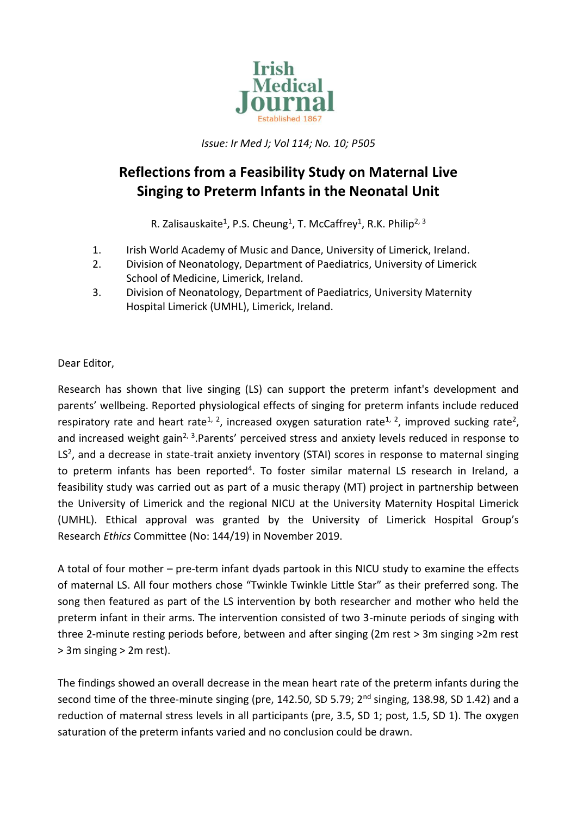

*Issue: Ir Med J; Vol 114; No. 10; P505*

## **Reflections from a Feasibility Study on Maternal Live Singing to Preterm Infants in the Neonatal Unit**

R. Zalisauskaite<sup>1</sup>, P.S. Cheung<sup>1</sup>, T. McCaffrey<sup>1</sup>, R.K. Philip<sup>2, 3</sup>

- 1. Irish World Academy of Music and Dance, University of Limerick, Ireland.
- 2. Division of Neonatology, Department of Paediatrics, University of Limerick School of Medicine, Limerick, Ireland.
- 3. Division of Neonatology, Department of Paediatrics, University Maternity Hospital Limerick (UMHL), Limerick, Ireland.

Dear Editor,

Research has shown that live singing (LS) can support the preterm infant's development and parents' wellbeing. Reported physiological effects of singing for preterm infants include reduced respiratory rate and heart rate<sup>1, 2</sup>, increased oxygen saturation rate<sup>1, 2</sup>, improved sucking rate<sup>2</sup>, and increased weight gain<sup>2, 3</sup>. Parents' perceived stress and anxiety levels reduced in response to  $LS<sup>2</sup>$ , and a decrease in state-trait anxiety inventory (STAI) scores in response to maternal singing to preterm infants has been reported<sup>4</sup>. To foster similar maternal LS research in Ireland, a feasibility study was carried out as part of a music therapy (MT) project in partnership between the University of Limerick and the regional NICU at the University Maternity Hospital Limerick (UMHL). Ethical approval was granted by the University of Limerick Hospital Group's Research *Ethics* Committee (No: 144/19) in November 2019.

A total of four mother – pre-term infant dyads partook in this NICU study to examine the effects of maternal LS. All four mothers chose "Twinkle Twinkle Little Star" as their preferred song. The song then featured as part of the LS intervention by both researcher and mother who held the preterm infant in their arms. The intervention consisted of two 3-minute periods of singing with three 2-minute resting periods before, between and after singing (2m rest > 3m singing >2m rest > 3m singing > 2m rest).

The findings showed an overall decrease in the mean heart rate of the preterm infants during the second time of the three-minute singing (pre, 142.50, SD 5.79;  $2<sup>nd</sup>$  singing, 138.98, SD 1.42) and a reduction of maternal stress levels in all participants (pre, 3.5, SD 1; post, 1.5, SD 1). The oxygen saturation of the preterm infants varied and no conclusion could be drawn.